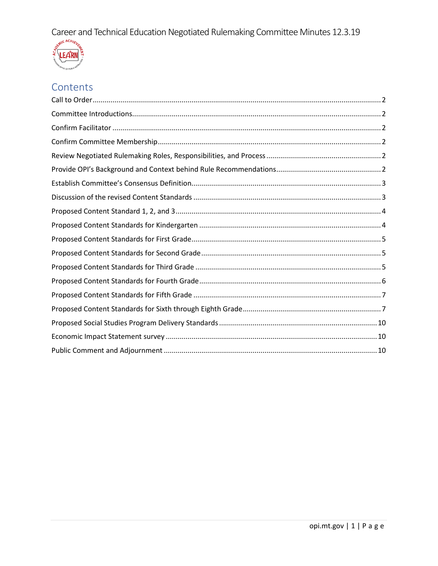

# Contents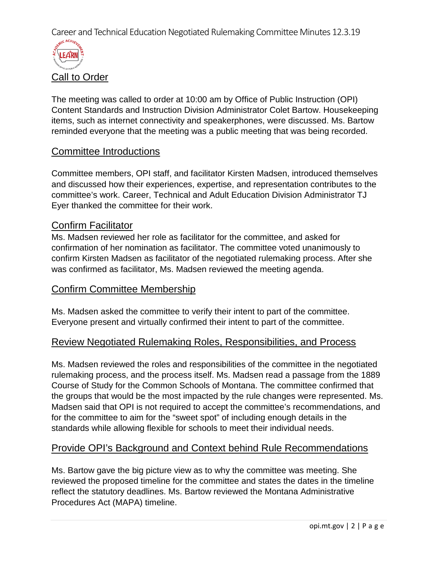

<span id="page-1-0"></span>The meeting was called to order at 10:00 am by Office of Public Instruction (OPI) Content Standards and Instruction Division Administrator Colet Bartow. Housekeeping items, such as internet connectivity and speakerphones, were discussed. Ms. Bartow reminded everyone that the meeting was a public meeting that was being recorded.

### <span id="page-1-1"></span>Committee Introductions

Committee members, OPI staff, and facilitator Kirsten Madsen, introduced themselves and discussed how their experiences, expertise, and representation contributes to the committee's work. Career, Technical and Adult Education Division Administrator TJ Eyer thanked the committee for their work.

### <span id="page-1-2"></span>Confirm Facilitator

Ms. Madsen reviewed her role as facilitator for the committee, and asked for confirmation of her nomination as facilitator. The committee voted unanimously to confirm Kirsten Madsen as facilitator of the negotiated rulemaking process. After she was confirmed as facilitator, Ms. Madsen reviewed the meeting agenda.

### <span id="page-1-3"></span>Confirm Committee Membership

Ms. Madsen asked the committee to verify their intent to part of the committee. Everyone present and virtually confirmed their intent to part of the committee.

### <span id="page-1-4"></span>Review Negotiated Rulemaking Roles, Responsibilities, and Process

Ms. Madsen reviewed the roles and responsibilities of the committee in the negotiated rulemaking process, and the process itself. Ms. Madsen read a passage from the 1889 Course of Study for the Common Schools of Montana. The committee confirmed that the groups that would be the most impacted by the rule changes were represented. Ms. Madsen said that OPI is not required to accept the committee's recommendations, and for the committee to aim for the "sweet spot" of including enough details in the standards while allowing flexible for schools to meet their individual needs.

### <span id="page-1-5"></span>Provide OPI's Background and Context behind Rule Recommendations

Ms. Bartow gave the big picture view as to why the committee was meeting. She reviewed the proposed timeline for the committee and states the dates in the timeline reflect the statutory deadlines. Ms. Bartow reviewed the Montana Administrative Procedures Act (MAPA) timeline.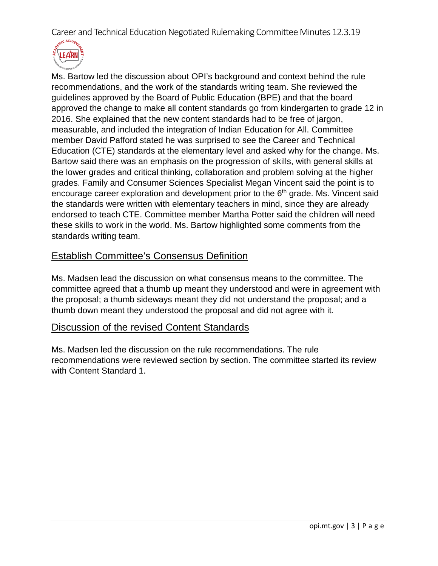

Ms. Bartow led the discussion about OPI's background and context behind the rule recommendations, and the work of the standards writing team. She reviewed the guidelines approved by the Board of Public Education (BPE) and that the board approved the change to make all content standards go from kindergarten to grade 12 in 2016. She explained that the new content standards had to be free of jargon, measurable, and included the integration of Indian Education for All. Committee member David Pafford stated he was surprised to see the Career and Technical Education (CTE) standards at the elementary level and asked why for the change. Ms. Bartow said there was an emphasis on the progression of skills, with general skills at the lower grades and critical thinking, collaboration and problem solving at the higher grades. Family and Consumer Sciences Specialist Megan Vincent said the point is to encourage career exploration and development prior to the  $6<sup>th</sup>$  grade. Ms. Vincent said the standards were written with elementary teachers in mind, since they are already endorsed to teach CTE. Committee member Martha Potter said the children will need these skills to work in the world. Ms. Bartow highlighted some comments from the standards writing team.

# <span id="page-2-0"></span>Establish Committee's Consensus Definition

Ms. Madsen lead the discussion on what consensus means to the committee. The committee agreed that a thumb up meant they understood and were in agreement with the proposal; a thumb sideways meant they did not understand the proposal; and a thumb down meant they understood the proposal and did not agree with it.

### <span id="page-2-1"></span>Discussion of the revised Content Standards

Ms. Madsen led the discussion on the rule recommendations. The rule recommendations were reviewed section by section. The committee started its review with Content Standard 1.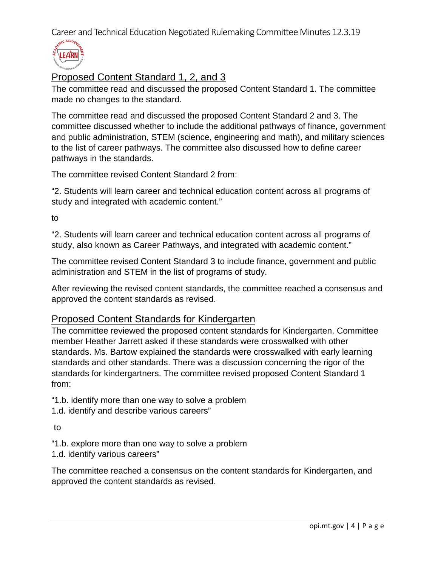

# <span id="page-3-0"></span>Proposed Content Standard 1, 2, and 3

The committee read and discussed the proposed Content Standard 1. The committee made no changes to the standard.

The committee read and discussed the proposed Content Standard 2 and 3. The committee discussed whether to include the additional pathways of finance, government and public administration, STEM (science, engineering and math), and military sciences to the list of career pathways. The committee also discussed how to define career pathways in the standards.

The committee revised Content Standard 2 from:

"2. Students will learn career and technical education content across all programs of study and integrated with academic content."

to

"2. Students will learn career and technical education content across all programs of study, also known as Career Pathways, and integrated with academic content."

The committee revised Content Standard 3 to include finance, government and public administration and STEM in the list of programs of study.

After reviewing the revised content standards, the committee reached a consensus and approved the content standards as revised.

### <span id="page-3-1"></span>Proposed Content Standards for Kindergarten

The committee reviewed the proposed content standards for Kindergarten. Committee member Heather Jarrett asked if these standards were crosswalked with other standards. Ms. Bartow explained the standards were crosswalked with early learning standards and other standards. There was a discussion concerning the rigor of the standards for kindergartners. The committee revised proposed Content Standard 1 from:

"1.b. identify more than one way to solve a problem

1.d. identify and describe various careers"

to

"1.b. explore more than one way to solve a problem

1.d. identify various careers"

The committee reached a consensus on the content standards for Kindergarten, and approved the content standards as revised.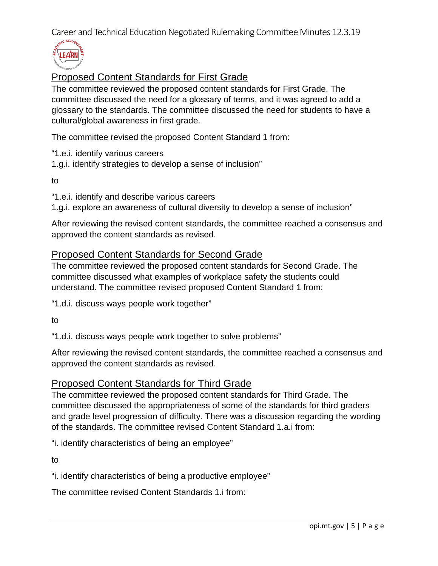

# <span id="page-4-0"></span>Proposed Content Standards for First Grade

The committee reviewed the proposed content standards for First Grade. The committee discussed the need for a glossary of terms, and it was agreed to add a glossary to the standards. The committee discussed the need for students to have a cultural/global awareness in first grade.

The committee revised the proposed Content Standard 1 from:

"1.e.i. identify various careers

1.g.i. identify strategies to develop a sense of inclusion"

to

"1.e.i. identify and describe various careers

1.g.i. explore an awareness of cultural diversity to develop a sense of inclusion"

After reviewing the revised content standards, the committee reached a consensus and approved the content standards as revised.

# <span id="page-4-1"></span>Proposed Content Standards for Second Grade

The committee reviewed the proposed content standards for Second Grade. The committee discussed what examples of workplace safety the students could understand. The committee revised proposed Content Standard 1 from:

"1.d.i. discuss ways people work together"

to

"1.d.i. discuss ways people work together to solve problems"

After reviewing the revised content standards, the committee reached a consensus and approved the content standards as revised.

# <span id="page-4-2"></span>Proposed Content Standards for Third Grade

The committee reviewed the proposed content standards for Third Grade. The committee discussed the appropriateness of some of the standards for third graders and grade level progression of difficulty. There was a discussion regarding the wording of the standards. The committee revised Content Standard 1.a.i from:

"i. identify characteristics of being an employee"

to

"i. identify characteristics of being a productive employee"

The committee revised Content Standards 1.i from: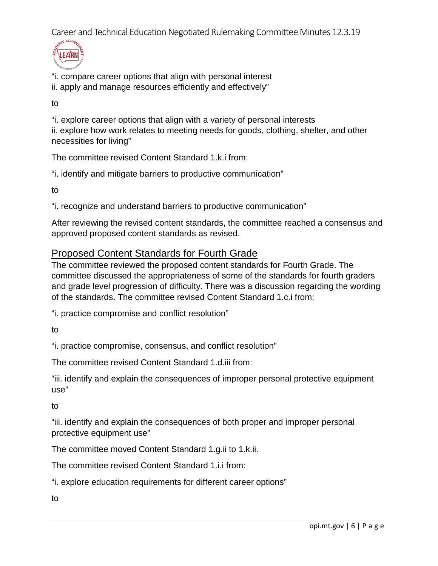

"i. compare career options that align with personal interest

ii. apply and manage resources efficiently and effectively"

to

"i. explore career options that align with a variety of personal interests ii. explore how work relates to meeting needs for goods, clothing, shelter, and other necessities for living"

The committee revised Content Standard 1.k.i from:

"i. identify and mitigate barriers to productive communication"

to

"i. recognize and understand barriers to productive communication"

After reviewing the revised content standards, the committee reached a consensus and approved proposed content standards as revised.

# <span id="page-5-0"></span>Proposed Content Standards for Fourth Grade

The committee reviewed the proposed content standards for Fourth Grade. The committee discussed the appropriateness of some of the standards for fourth graders and grade level progression of difficulty. There was a discussion regarding the wording of the standards. The committee revised Content Standard 1.c.i from:

"i. practice compromise and conflict resolution"

to

"i. practice compromise, consensus, and conflict resolution"

The committee revised Content Standard 1.d.iii from:

"iii. identify and explain the consequences of improper personal protective equipment use"

to

"iii. identify and explain the consequences of both proper and improper personal protective equipment use"

The committee moved Content Standard 1.g.ii to 1.k.ii.

The committee revised Content Standard 1.i.i from:

"i. explore education requirements for different career options"

to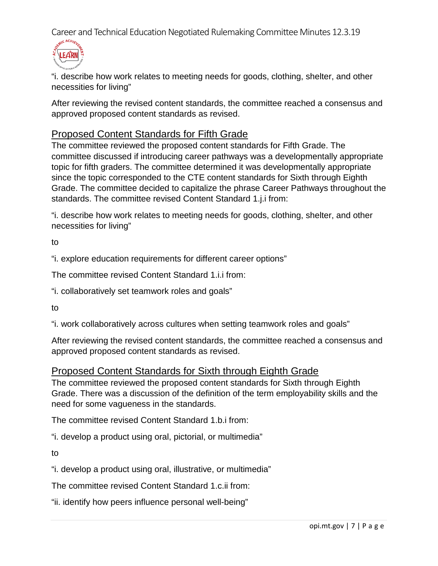

"i. describe how work relates to meeting needs for goods, clothing, shelter, and other necessities for living"

After reviewing the revised content standards, the committee reached a consensus and approved proposed content standards as revised.

# <span id="page-6-0"></span>Proposed Content Standards for Fifth Grade

The committee reviewed the proposed content standards for Fifth Grade. The committee discussed if introducing career pathways was a developmentally appropriate topic for fifth graders. The committee determined it was developmentally appropriate since the topic corresponded to the CTE content standards for Sixth through Eighth Grade. The committee decided to capitalize the phrase Career Pathways throughout the standards. The committee revised Content Standard 1.j.i from:

"i. describe how work relates to meeting needs for goods, clothing, shelter, and other necessities for living"

to

"i. explore education requirements for different career options"

The committee revised Content Standard 1.i.i from:

"i. collaboratively set teamwork roles and goals"

to

"i. work collaboratively across cultures when setting teamwork roles and goals"

After reviewing the revised content standards, the committee reached a consensus and approved proposed content standards as revised.

### <span id="page-6-1"></span>Proposed Content Standards for Sixth through Eighth Grade

The committee reviewed the proposed content standards for Sixth through Eighth Grade. There was a discussion of the definition of the term employability skills and the need for some vagueness in the standards.

The committee revised Content Standard 1.b.i from:

"i. develop a product using oral, pictorial, or multimedia"

to

"i. develop a product using oral, illustrative, or multimedia"

The committee revised Content Standard 1.c.ii from:

"ii. identify how peers influence personal well-being"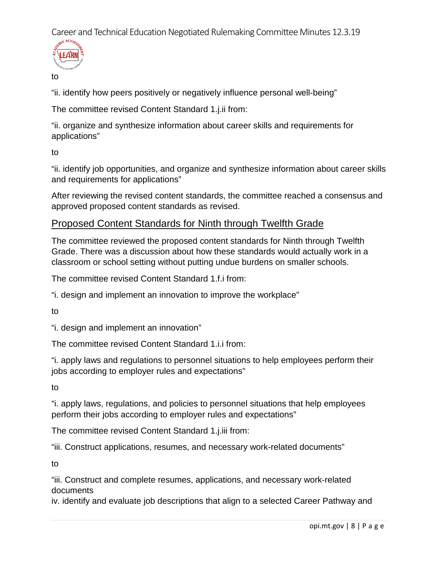

to

"ii. identify how peers positively or negatively influence personal well-being"

The committee revised Content Standard 1.j.ii from:

"ii. organize and synthesize information about career skills and requirements for applications"

to

"ii. identify job opportunities, and organize and synthesize information about career skills and requirements for applications"

After reviewing the revised content standards, the committee reached a consensus and approved proposed content standards as revised.

# Proposed Content Standards for Ninth through Twelfth Grade

The committee reviewed the proposed content standards for Ninth through Twelfth Grade. There was a discussion about how these standards would actually work in a classroom or school setting without putting undue burdens on smaller schools.

The committee revised Content Standard 1.f.i from:

"i. design and implement an innovation to improve the workplace"

to

"i. design and implement an innovation"

The committee revised Content Standard 1.i.i from:

"i. apply laws and regulations to personnel situations to help employees perform their jobs according to employer rules and expectations"

to

"i. apply laws, regulations, and policies to personnel situations that help employees perform their jobs according to employer rules and expectations"

The committee revised Content Standard 1.j.iii from:

"iii. Construct applications, resumes, and necessary work-related documents"

to

"iii. Construct and complete resumes, applications, and necessary work-related documents

iv. identify and evaluate job descriptions that align to a selected Career Pathway and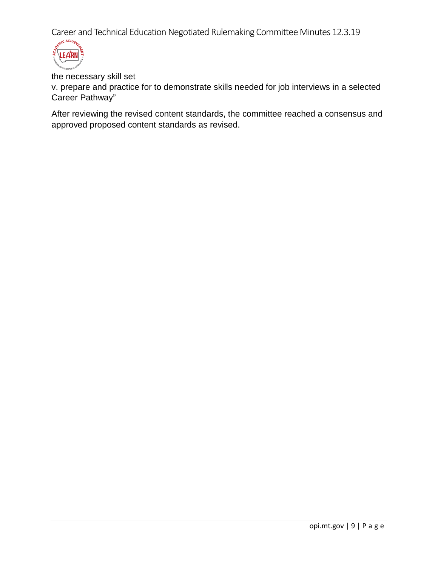

the necessary skill set

v. prepare and practice for to demonstrate skills needed for job interviews in a selected Career Pathway"

After reviewing the revised content standards, the committee reached a consensus and approved proposed content standards as revised.